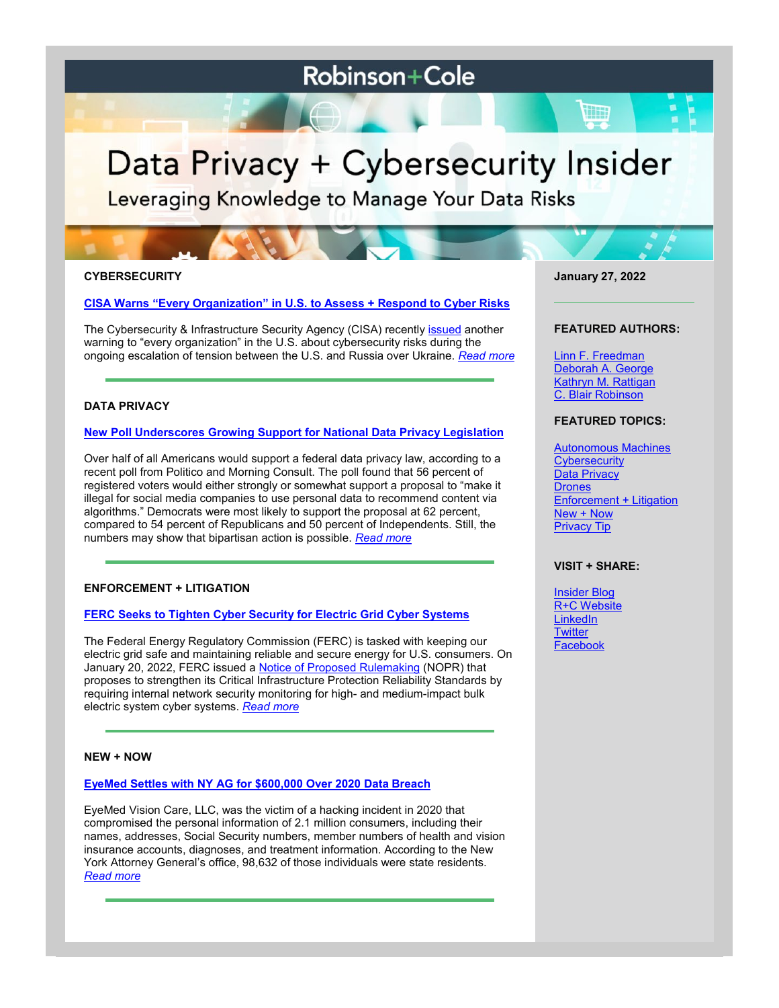# **Robinson+Cole**

# Data Privacy + Cybersecurity Insider

Leveraging Knowledge to Manage Your Data Risks

# **CYBERSECURITY**

#### **[CISA Warns "Every Organization" in U.S. to Assess + Respond to Cyber Risks](https://www.dataprivacyandsecurityinsider.com/2022/01/cisa-warns-every-organization-in-u-s-to-assess-and-respond-to-cyber-risks/)**

The Cybersecurity & Infrastructure Security Agency (CISA) recently [issued](https://www.cisa.gov/sites/default/files/publications/CISA_Insights-Implement_Cybersecurity_Measures_Now_to_Protect_Against_Critical_Threats_508C.pdf) another warning to "every organization" in the U.S. about cybersecurity risks during the ongoing escalation of tension between the U.S. and Russia over Ukraine. *[Read more](https://www.dataprivacyandsecurityinsider.com/2022/01/cisa-warns-every-organization-in-u-s-to-assess-and-respond-to-cyber-risks/)*

# **DATA PRIVACY**

#### **New Poll [Underscores Growing Support for National Data Privacy Legislation](https://www.dataprivacyandsecurityinsider.com/2022/01/new-poll-underscores-growing-support-for-national-data-privacy-legislation/)**

Over half of all Americans would support a federal data privacy law, according to a recent poll from Politico and Morning Consult. The poll found that 56 percent of registered voters would either strongly or somewhat support a proposal to "make it illegal for social media companies to use personal data to recommend content via algorithms." Democrats were most likely to support the proposal at 62 percent, compared to 54 percent of Republicans and 50 percent of Independents. Still, the numbers may show that bipartisan action is possible. *[Read more](https://www.dataprivacyandsecurityinsider.com/2022/01/new-poll-underscores-growing-support-for-national-data-privacy-legislation/)*

#### **ENFORCEMENT + LITIGATION**

#### **[FERC Seeks to Tighten Cyber Security for Electric Grid Cyber](https://www.dataprivacyandsecurityinsider.com/2022/01/ferc-seeks-to-tighten-cyber-security-for-electric-grid-cyber-systems/) Systems**

The Federal Energy Regulatory Commission (FERC) is tasked with keeping our electric grid safe and maintaining reliable and secure energy for U.S. consumers. On January 20, 2022, FERC issued a **[Notice of Proposed Rulemaking](https://ferc.gov/media/rm22-3-000) (NOPR)** that proposes to strengthen its Critical Infrastructure Protection Reliability Standards by requiring internal network security monitoring for high- and medium-impact bulk electric system cyber systems. *[Read more](https://www.dataprivacyandsecurityinsider.com/2022/01/ferc-seeks-to-tighten-cyber-security-for-electric-grid-cyber-systems/)*

## **NEW + NOW**

# **[EyeMed Settles with NY AG for \\$600,000 Over 2020 Data Breach](https://www.dataprivacyandsecurityinsider.com/2022/01/eyemed-settles-with-ny-ag-for-600000-over-2020-data-breach/)**

EyeMed Vision Care, LLC, was the victim of a hacking incident in 2020 that compromised the personal information of 2.1 million consumers, including their names, addresses, Social Security numbers, member numbers of health and vision insurance accounts, diagnoses, and treatment information. According to the New York Attorney General's office, 98,632 of those individuals were state residents. *[Read more](https://www.dataprivacyandsecurityinsider.com/2022/01/eyemed-settles-with-ny-ag-for-600000-over-2020-data-breach/)*

**January 27, 2022**

#### **FEATURED AUTHORS:**

[Linn F. Freedman](https://www.rc.com/people/LinnFFreedman.cfm) [Deborah A. George](http://www.rc.com/people/DeborahAGeorge.cfm) [Kathryn M. Rattigan](https://www.rc.com/people/kathrynmrattigan.cfm) C. Blair Robinson

# **FEATURED TOPICS:**

[Autonomous Machines](https://www.dataprivacyandsecurityinsider.com/category/autonomous-machines/) **[Cybersecurity](https://www.dataprivacyandsecurityinsider.com/category/cybersecurity/)** [Data Privacy](https://www.dataprivacyandsecurityinsider.com/category/data-privacy/) **[Drones](https://www.dataprivacyandsecurityinsider.com/category/drones/)** [Enforcement + Litigation](https://www.dataprivacyandsecurityinsider.com/category/enforcement-litigation/) [New + Now](https://www.dataprivacyandsecurityinsider.com/category/new-now/) [Privacy Tip](https://www.dataprivacyandsecurityinsider.com/category/privacy-tips/)

## **VISIT + SHARE:**

[Insider Blog](https://www.dataprivacyandsecurityinsider.com/) [R+C Website](http://www.rc.com/) **[LinkedIn](https://www.linkedin.com/company/robinson-&-cole-llp) [Twitter](https://twitter.com/RobinsonCole)** [Facebook](https://www.facebook.com/RobinsonCole-144331422248207/)